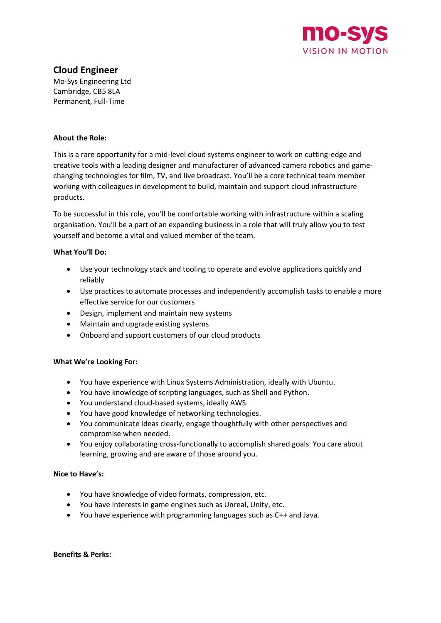

# **Cloud Engineer**

Mo-Sys Engineering Ltd Cambridge, CB5 8LA Permanent, Full-Time

## **About the Role:**

This is a rare opportunity for a mid-level cloud systems engineer to work on cutting-edge and creative tools with a leading designer and manufacturer of advanced camera robotics and gamechanging technologies for film, TV, and live broadcast. You'll be a core technical team member working with colleagues in development to build, maintain and support cloud infrastructure products.

To be successful in this role, you'll be comfortable working with infrastructure within a scaling organisation. You'll be a part of an expanding business in a role that will truly allow you to test yourself and become a vital and valued member of the team.

## **What You'll Do:**

- Use your technology stack and tooling to operate and evolve applications quickly and reliably
- Use practices to automate processes and independently accomplish tasks to enable a more effective service for our customers
- Design, implement and maintain new systems
- Maintain and upgrade existing systems
- Onboard and support customers of our cloud products

### **What We're Looking For:**

- You have experience with Linux Systems Administration, ideally with Ubuntu.
- You have knowledge of scripting languages, such as Shell and Python.
- You understand cloud-based systems, ideally AWS.
- You have good knowledge of networking technologies.
- You communicate ideas clearly, engage thoughtfully with other perspectives and compromise when needed.
- You enjoy collaborating cross-functionally to accomplish shared goals. You care about learning, growing and are aware of those around you.

### **Nice to Have's:**

- You have knowledge of video formats, compression, etc.
- You have interests in game engines such as Unreal, Unity, etc.
- You have experience with programming languages such as C++ and Java.

**Benefits & Perks:**